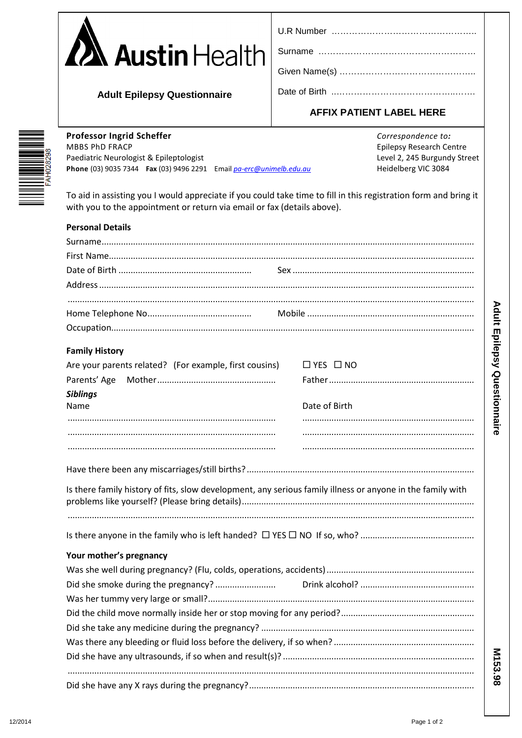| <b>A</b> Austin Health |  |
|------------------------|--|
|                        |  |

| U.R Number |  |
|------------|--|
|------------|--|

**Adult Epilepsy Questionnaire** 

## **AFFIX PATIENT LABEL HERE**

Professor Ingrid Scheffer **MBBS PhD FRACP** Paediatric Neurologist & Epileptologist Phone (03) 9035 7344 Fax (03) 9496 2291 Email pa-erc@unimelb.edu.au Correspondence to: **Epilepsy Research Centre** Level 2, 245 Burgundy Street Heidelberg VIC 3084

To aid in assisting you I would appreciate if you could take time to fill in this registration form and bring it with you to the appointment or return via email or fax (details above).

| <b>Personal Details</b>                                                                                    |  |                      |  |
|------------------------------------------------------------------------------------------------------------|--|----------------------|--|
|                                                                                                            |  |                      |  |
|                                                                                                            |  |                      |  |
|                                                                                                            |  |                      |  |
|                                                                                                            |  |                      |  |
|                                                                                                            |  |                      |  |
|                                                                                                            |  |                      |  |
|                                                                                                            |  |                      |  |
| <b>Family History</b>                                                                                      |  |                      |  |
| Are your parents related? (For example, first cousins)                                                     |  | $\Box$ YES $\Box$ NO |  |
| Parents' Age                                                                                               |  |                      |  |
| <b>Siblings</b><br>Name                                                                                    |  | Date of Birth        |  |
|                                                                                                            |  |                      |  |
|                                                                                                            |  |                      |  |
|                                                                                                            |  |                      |  |
|                                                                                                            |  |                      |  |
| Is there family history of fits, slow development, any serious family illness or anyone in the family with |  |                      |  |
|                                                                                                            |  |                      |  |
|                                                                                                            |  |                      |  |
| Your mother's pregnancy                                                                                    |  |                      |  |
|                                                                                                            |  |                      |  |
|                                                                                                            |  |                      |  |
|                                                                                                            |  |                      |  |
|                                                                                                            |  |                      |  |
|                                                                                                            |  |                      |  |
|                                                                                                            |  |                      |  |
|                                                                                                            |  |                      |  |
|                                                                                                            |  |                      |  |
|                                                                                                            |  |                      |  |

M153.98